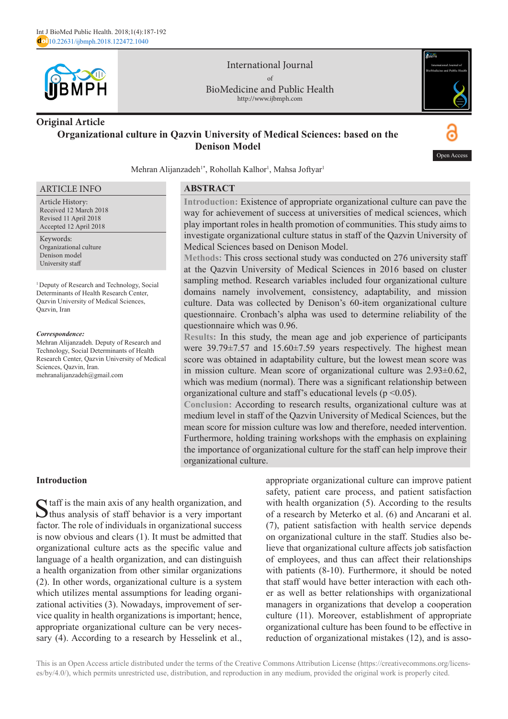

**Original Article**

International Journal of BioMedicine and Public Health http://www.ijbmph.com



# **Organizational culture in Qazvin University of Medical Sciences: based on the Denison Model**



Mehran Alijanzadeh<sup>1\*</sup>, Rohollah Kalhor<sup>1</sup>, Mahsa Joftyar<sup>1</sup>

#### ARTICLE INFO

Article History: Received 12 March 2018 Revised 11 April 2018 Accepted 12 April 2018

Keywords: Organizational culture Denison model University staff

<sup>1</sup> Deputy of Research and Technology, Social Determinants of Health Research Center, Qazvin University of Medical Sciences, Qazvin, Iran

#### *Correspondence:*

Mehran Alijanzadeh. Deputy of Research and Technology, Social Determinants of Health Research Center, Qazvin University of Medical Sciences, Qazvin, Iran. mehranalijanzadeh@gmail.com

### **ABSTRACT**

**Introduction:** Existence of appropriate organizational culture can pave the way for achievement of success at universities of medical sciences, which play important roles in health promotion of communities. This study aims to investigate organizational culture status in staff of the Qazvin University of Medical Sciences based on Denison Model.

**Methods:** This cross sectional study was conducted on 276 university staff at the Qazvin University of Medical Sciences in 2016 based on cluster sampling method. Research variables included four organizational culture domains namely involvement, consistency, adaptability, and mission culture. Data was collected by Denison's 60-item organizational culture questionnaire. Cronbach's alpha was used to determine reliability of the questionnaire which was 0.96.

**Results:** In this study, the mean age and job experience of participants were 39.79±7.57 and 15.60±7.59 years respectively. The highest mean score was obtained in adaptability culture, but the lowest mean score was in mission culture. Mean score of organizational culture was 2.93±0.62, which was medium (normal). There was a significant relationship between organizational culture and staff's educational levels ( $p \le 0.05$ ).

**Conclusion:** According to research results, organizational culture was at medium level in staff of the Qazvin University of Medical Sciences, but the mean score for mission culture was low and therefore, needed intervention. Furthermore, holding training workshops with the emphasis on explaining the importance of organizational culture for the staff can help improve their organizational culture.

# **Introduction**

Staff is the main axis of any health organization, and  $\bigcup$  thus analysis of staff behavior is a very important factor. The role of individuals in organizational success is now obvious and clears (1). It must be admitted that organizational culture acts as the specific value and language of a health organization, and can distinguish a health organization from other similar organizations (2). In other words, organizational culture is a system which utilizes mental assumptions for leading organizational activities (3). Nowadays, improvement of service quality in health organizations is important; hence, appropriate organizational culture can be very necessary (4). According to a research by Hesselink et al., appropriate organizational culture can improve patient safety, patient care process, and patient satisfaction with health organization  $(5)$ . According to the results of a research by Meterko et al. (6) and Ancarani et al. (7), patient satisfaction with health service depends on organizational culture in the staff. Studies also believe that organizational culture affects job satisfaction of employees, and thus can affect their relationships with patients (8-10). Furthermore, it should be noted that staff would have better interaction with each other as well as better relationships with organizational managers in organizations that develop a cooperation culture (11). Moreover, establishment of appropriate organizational culture has been found to be effective in reduction of organizational mistakes (12), and is asso-

This is an Open Access article distributed under the terms of the Creative Commons Attribution License (https://creativecommons.org/licenses/by/4.0/), which permits unrestricted use, distribution, and reproduction in any medium, provided the original work is properly cited.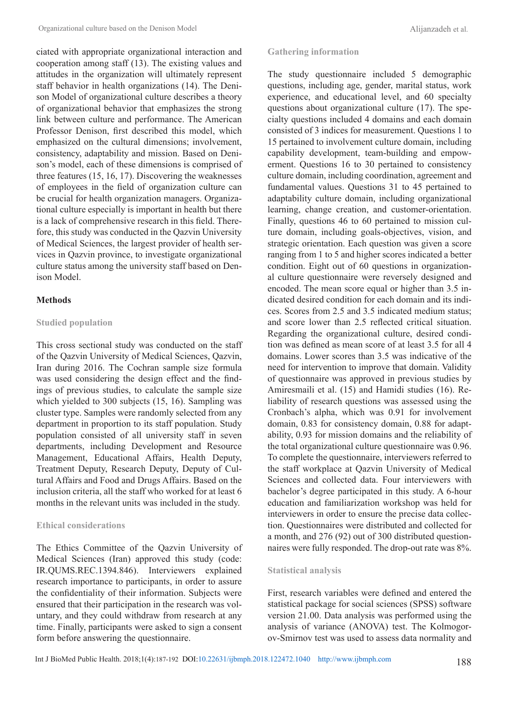ciated with appropriate organizational interaction and cooperation among staff (13). The existing values and attitudes in the organization will ultimately represent staff behavior in health organizations (14). The Denison Model of organizational culture describes a theory of organizational behavior that emphasizes the strong link between culture and performance. The American Professor Denison, first described this model, which emphasized on the cultural dimensions; involvement, consistency, adaptability and mission. Based on Denison's model, each of these dimensions is comprised of three features (15, 16, 17). Discovering the weaknesses of employees in the field of organization culture can be crucial for health organization managers. Organizational culture especially is important in health but there is a lack of comprehensive research in this field. Therefore, this study was conducted in the Qazvin University of Medical Sciences, the largest provider of health services in Qazvin province, to investigate organizational culture status among the university staff based on Denison Model.

#### **Methods**

#### **Studied population**

This cross sectional study was conducted on the staff of the Qazvin University of Medical Sciences, Qazvin, Iran during 2016. The Cochran sample size formula was used considering the design effect and the findings of previous studies, to calculate the sample size which yielded to 300 subjects  $(15, 16)$ . Sampling was cluster type. Samples were randomly selected from any department in proportion to its staff population. Study population consisted of all university staff in seven departments, including Development and Resource Management, Educational Affairs, Health Deputy, Treatment Deputy, Research Deputy, Deputy of Cultural Affairs and [Food and Drugs Affairs](http://sbmu.ac.ir/index.jsp?fkeyid=&siteid=256&pageid=13083). Based on the inclusion criteria, all the staff who worked for at least 6 months in the relevant units was included in the study.

#### **Ethical considerations**

The Ethics Committee of the Qazvin University of Medical Sciences (Iran) approved this study (code: IR.QUMS.REC.1394.846). Interviewers explained research importance to participants, in order to assure the confidentiality of their information. Subjects were ensured that their participation in the research was voluntary, and they could withdraw from research at any time. Finally, participants were asked to sign a consent form before answering the questionnaire.

#### **Gathering information**

The study questionnaire included 5 demographic questions, including age, gender, marital status, work experience, and educational level, and 60 specialty questions about organizational culture (17). The specialty questions included 4 domains and each domain consisted of 3 indices for measurement. Questions 1 to 15 pertained to involvement culture domain, including capability development, team-building and empowerment. Questions 16 to 30 pertained to consistency culture domain, including coordination, agreement and fundamental values. Questions 31 to 45 pertained to adaptability culture domain, including organizational learning, change creation, and customer-orientation. Finally, questions 46 to 60 pertained to mission culture domain, including goals-objectives, vision, and strategic orientation. Each question was given a score ranging from 1 to 5 and higher scores indicated a better condition. Eight out of 60 questions in organizational culture questionnaire were reversely designed and encoded. The mean score equal or higher than 3.5 indicated desired condition for each domain and its indices. Scores from 2.5 and 3.5 indicated medium status; and score lower than 2.5 reflected critical situation. Regarding the organizational culture, desired condition was defined as mean score of at least 3.5 for all 4 domains. Lower scores than 3.5 was indicative of the need for intervention to improve that domain. Validity of questionnaire was approved in previous studies by Amiresmaili et al. (15) and Hamidi studies (16). Reliability of research questions was assessed using the Cronbach's alpha, which was 0.91 for involvement domain, 0.83 for consistency domain, 0.88 for adaptability, 0.93 for mission domains and the reliability of the total organizational culture questionnaire was 0.96. To complete the questionnaire, interviewers referred to the staff workplace at Qazvin University of Medical Sciences and collected data. Four interviewers with bachelor's degree participated in this study. A 6-hour education and familiarization workshop was held for interviewers in order to ensure the precise data collection. Questionnaires were distributed and collected for a month, and 276 (92) out of 300 distributed questionnaires were fully responded. The drop-out rate was 8%.

#### **Statistical analysis**

First, research variables were defined and entered the statistical package for social sciences (SPSS) software version 21.00. Data analysis was performed using the analysis of variance (ANOVA) test. The Kolmogorov-Smirnov test was used to assess data normality and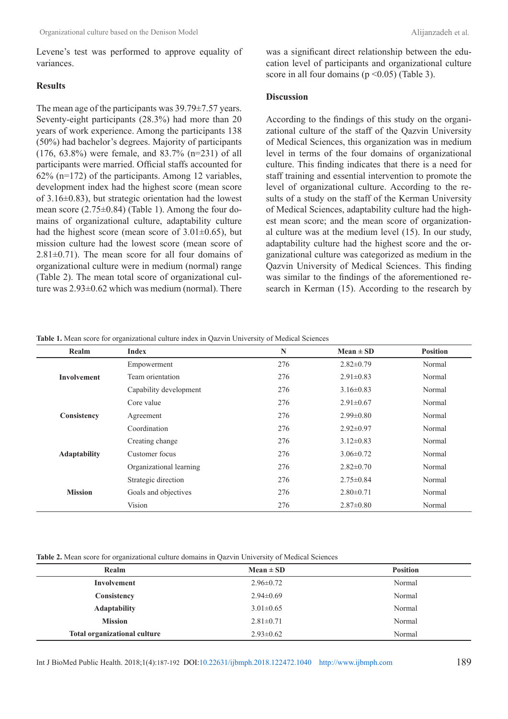Levene's test was performed to approve equality of variances.

#### **Results**

The mean age of the participants was 39.79±7.57 years. Seventy-eight participants (28.3%) had more than 20 years of work experience. Among the participants 138 (50%) had bachelor's degrees. Majority of participants (176, 63.8%) were female, and 83.7% (n=231) of all participants were married. Official staffs accounted for 62% (n=172) of the participants. Among 12 variables, development index had the highest score (mean score of 3.16±0.83), but strategic orientation had the lowest mean score (2.75±0.84) (Table 1). Among the four domains of organizational culture, adaptability culture had the highest score (mean score of  $3.01\pm0.65$ ), but mission culture had the lowest score (mean score of  $2.81\pm0.71$ ). The mean score for all four domains of organizational culture were in medium (normal) range (Table 2). The mean total score of organizational culture was 2.93±0.62 which was medium (normal). There was a significant direct relationship between the education level of participants and organizational culture score in all four domains ( $p \le 0.05$ ) (Table 3).

#### **Discussion**

According to the findings of this study on the organizational culture of the staff of the Qazvin University of Medical Sciences, this organization was in medium level in terms of the four domains of organizational culture. This finding indicates that there is a need for staff training and essential intervention to promote the level of organizational culture. According to the results of a study on the staff of the Kerman University of Medical Sciences, adaptability culture had the highest mean score; and the mean score of organizational culture was at the medium level (15). In our study, adaptability culture had the highest score and the organizational culture was categorized as medium in the Qazvin University of Medical Sciences. This finding was similar to the findings of the aforementioned research in Kerman (15). According to the research by

| Realm               | <b>Index</b>            | N   | $Mean \pm SD$   | <b>Position</b> |
|---------------------|-------------------------|-----|-----------------|-----------------|
| Involvement         | Empowerment             | 276 | $2.82 \pm 0.79$ | Normal          |
|                     | Team orientation        | 276 | $2.91 \pm 0.83$ | Normal          |
|                     | Capability development  | 276 | $3.16\pm0.83$   | Normal          |
| Consistency         | Core value              | 276 | $2.91 \pm 0.67$ | Normal          |
|                     | Agreement               | 276 | $2.99 \pm 0.80$ | Normal          |
|                     | Coordination            | 276 | $2.92 \pm 0.97$ | Normal          |
| <b>Adaptability</b> | Creating change         | 276 | $3.12\pm0.83$   | Normal          |
|                     | Customer focus          | 276 | $3.06 \pm 0.72$ | Normal          |
|                     | Organizational learning | 276 | $2.82 \pm 0.70$ | Normal          |
| <b>Mission</b>      | Strategic direction     | 276 | $2.75 \pm 0.84$ | Normal          |
|                     | Goals and objectives    | 276 | $2.80\pm0.71$   | Normal          |
|                     | Vision                  | 276 | $2.87 \pm 0.80$ | Normal          |

**Table 1.** Mean score for organizational culture index in Qazvin University of Medical Sciences

**Table 2.** Mean score for organizational culture domains in Qazvin University of Medical Sciences

| <b>Realm</b>                        | $Mean \pm SD$   | <b>Position</b> |
|-------------------------------------|-----------------|-----------------|
| Involvement                         | $2.96 \pm 0.72$ | Normal          |
| Consistency                         | $2.94\pm0.69$   | Normal          |
| <b>Adaptability</b>                 | $3.01 \pm 0.65$ | Normal          |
| <b>Mission</b>                      | $2.81 \pm 0.71$ | Normal          |
| <b>Total organizational culture</b> | $2.93 \pm 0.62$ | Normal          |

Int J BioMed Public Health. 2018;1(4):187-192 DOI:[10.22631/ijbmph.2018.122472.1040](https://dx.doi.org/10.22631/ijbmph.2018.122472.1040) <http://www.ijbmph.com>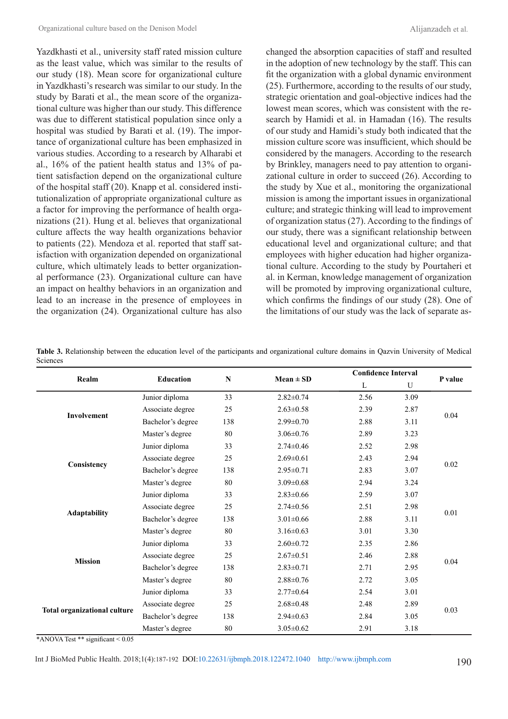Yazdkhasti et al., university staff rated mission culture as the least value, which was similar to the results of our study (18). Mean score for organizational culture in Yazdkhasti's research was similar to our study. In the study by Barati et al., the mean score of the organizational culture was higher than our study. This difference was due to different statistical population since only a hospital was studied by Barati et al. (19). The importance of organizational culture has been emphasized in various studies. According to a research by Alharabi et al., 16% of the patient health status and 13% of patient satisfaction depend on the organizational culture of the hospital staff (20). Knapp et al. considered institutionalization of appropriate organizational culture as a factor for improving the performance of health organizations (21). Hung et al. believes that organizational culture affects the way health organizations behavior to patients (22). Mendoza et al. reported that staff satisfaction with organization depended on organizational culture, which ultimately leads to better organizational performance (23). Organizational culture can have an impact on healthy behaviors in an organization and lead to an increase in the presence of employees in the organization (24). Organizational culture has also

changed the absorption capacities of staff and resulted in the adoption of new technology by the staff. This can fit the organization with a global dynamic environment (25). Furthermore, according to the results of our study, strategic orientation and goal-objective indices had the lowest mean scores, which was consistent with the research by Hamidi et al. in Hamadan (16). The results of our study and Hamidi's study both indicated that the mission culture score was insufficient, which should be considered by the managers. According to the research by Brinkley, managers need to pay attention to organizational culture in order to succeed (26). According to the study by Xue et al., monitoring the organizational mission is among the important issues in organizational culture; and strategic thinking will lead to improvement of organization status (27). According to the findings of our study, there was a significant relationship between educational level and organizational culture; and that employees with higher education had higher organizational culture. According to the study by Pourtaheri et al. in Kerman, knowledge management of organization will be promoted by improving organizational culture, which confirms the findings of our study (28). One of the limitations of our study was the lack of separate as-

**Table 3.** Relationship between the education level of the participants and organizational culture domains in Qazvin University of Medical Sciences

|                                     | <b>Education</b>  | $\mathbf N$ | $Mean \pm SD$   | <b>Confidence Interval</b> |      |          |
|-------------------------------------|-------------------|-------------|-----------------|----------------------------|------|----------|
| Realm                               |                   |             |                 | $\mathbf L$                | U    | P value  |
|                                     | Junior diploma    | 33          | $2.82 \pm 0.74$ | 2.56                       | 3.09 | 0.04     |
| <b>Involvement</b>                  | Associate degree  | 25          | $2.63 \pm 0.58$ | 2.39                       | 2.87 |          |
|                                     | Bachelor's degree | 138         | $2.99 \pm 0.70$ | 2.88                       | 3.11 |          |
|                                     | Master's degree   | 80          | $3.06 \pm 0.76$ | 2.89                       | 3.23 |          |
|                                     | Junior diploma    | 33          | $2.74 \pm 0.46$ | 2.52                       | 2.98 | $0.02\,$ |
|                                     | Associate degree  | 25          | $2.69 \pm 0.61$ | 2.43                       | 2.94 |          |
| Consistency                         | Bachelor's degree | 138         | $2.95 \pm 0.71$ | 2.83                       | 3.07 |          |
|                                     | Master's degree   | 80          | $3.09 \pm 0.68$ | 2.94                       | 3.24 |          |
|                                     | Junior diploma    | 33          | $2.83 \pm 0.66$ | 2.59                       | 3.07 | 0.01     |
|                                     | Associate degree  | 25          | $2.74 \pm 0.56$ | 2.51                       | 2.98 |          |
| Adaptability                        | Bachelor's degree | 138         | $3.01 \pm 0.66$ | 2.88                       | 3.11 |          |
|                                     | Master's degree   | 80          | $3.16 \pm 0.63$ | 3.01                       | 3.30 |          |
|                                     | Junior diploma    | 33          | $2.60 \pm 0.72$ | 2.35                       | 2.86 | 0.04     |
| <b>Mission</b>                      | Associate degree  | 25          | $2.67 \pm 0.51$ | 2.46                       | 2.88 |          |
|                                     | Bachelor's degree | 138         | $2.83 \pm 0.71$ | 2.71                       | 2.95 |          |
|                                     | Master's degree   | 80          | $2.88 \pm 0.76$ | 2.72                       | 3.05 |          |
|                                     | Junior diploma    | 33          | $2.77 \pm 0.64$ | 2.54                       | 3.01 | 0.03     |
|                                     | Associate degree  | 25          | $2.68 \pm 0.48$ | 2.48                       | 2.89 |          |
| <b>Total organizational culture</b> | Bachelor's degree | 138         | $2.94 \pm 0.63$ | 2.84                       | 3.05 |          |
|                                     | Master's degree   | 80          | $3.05 \pm 0.62$ | 2.91                       | 3.18 |          |

\*ANOVA Test \*\* significant < 0.05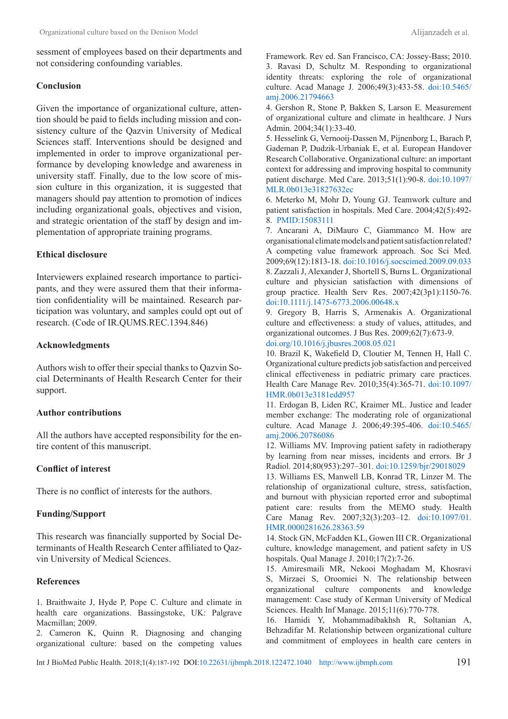sessment of employees based on their departments and not considering confounding variables.

#### **Conclusion**

Given the importance of organizational culture, attention should be paid to fields including mission and consistency culture of the Qazvin University of Medical Sciences staff. Interventions should be designed and implemented in order to improve organizational performance by developing knowledge and awareness in university staff. Finally, due to the low score of mission culture in this organization, it is suggested that managers should pay attention to promotion of indices including organizational goals, objectives and vision, and strategic orientation of the staff by design and implementation of appropriate training programs.

### **Ethical disclosure**

Interviewers explained research importance to participants, and they were assured them that their information confidentiality will be maintained. Research participation was voluntary, and samples could opt out of research. (Code of IR.QUMS.REC.1394.846)

# **Acknowledgments**

Authors wish to offer their special thanks to Qazvin Social Determinants of Health Research Center for their support.

### **Author contributions**

All the authors have accepted responsibility for the entire content of this manuscript.

# **Conflict of interest**

There is no conflict of interests for the authors.

### **Funding/Support**

This research was financially supported by Social Determinants of Health Research Center affiliated to Qazvin University of Medical Sciences.

### **References**

1. Braithwaite J, Hyde P, Pope C. Culture and climate in health care organizations. Bassingstoke, UK: Palgrave Macmillan; 2009.

2. Cameron K, Quinn R. Diagnosing and changing organizational culture: based on the competing values Framework. Rev ed. San Francisco, CA: Jossey-Bass; 2010. 3. Ravasi D, Schultz M. Responding to organizational identity threats: exploring the role of organizational culture. Acad Manage J. 2006;49(3):433-58. [doi:10.5465/](https://journals.aom.org/doi/abs/10.5465/amj.2006.21794663) [amj.2006.21794663](https://journals.aom.org/doi/abs/10.5465/amj.2006.21794663)

4. Gershon R, Stone P, Bakken S, Larson E. Measurement of organizational culture and climate in healthcare. J Nurs Admin. 2004;34(1):33-40.

5. Hesselink G, Vernooij-Dassen M, Pijnenborg L, Barach P, Gademan P, Dudzik-Urbaniak E, et al. European Handover Research Collaborative. Organizational culture: an important context for addressing and improving hospital to community patient discharge. Med Care. 2013;51(1):90-8. [doi:10.1097/](https://www.ncbi.nlm.nih.gov/pubmed/?term=European+Handover+Research+Collaborative.+Organizational+culture%3A+an+important+context+for+addressing+and+improving+hospital+to+community+patient+discharge) [MLR.0b013e31827632ec](https://www.ncbi.nlm.nih.gov/pubmed/?term=European+Handover+Research+Collaborative.+Organizational+culture%3A+an+important+context+for+addressing+and+improving+hospital+to+community+patient+discharge)

6. Meterko M, Mohr D, Young GJ. Teamwork culture and patient satisfaction in hospitals. Med Care. 2004;42(5):492- 8. [PMID:15083111](https://www.ncbi.nlm.nih.gov/pubmed/15083111)

7. Ancarani A, DiMauro C, Giammanco M. How are organisational climate models and patient satisfaction related? A competing value framework approach. Soc Sci Med. 2009;69(12):1813-18. [doi:10.1016/j.socscimed.2009.09.033](https://www.sciencedirect.com/science/article/abs/pii/S0277953609006248) 8. Zazzali J, Alexander J, Shortell S, Burns L. Organizational culture and physician satisfaction with dimensions of group practice. Health Serv Res. 2007;42(3p1):1150-76. [doi:10.1111/j.1475-6773.2006.00648.x](https://onlinelibrary.wiley.com/doi/abs/10.1111/j.1475-6773.2006.00648.x)

9. Gregory B, Harris S, Armenakis A. Organizational culture and effectiveness: a study of values, attitudes, and organizational outcomes. J Bus Res. 2009;62(7):673-9. [doi.org/10.1016/j.jbusres.2008.05.021](https://www.sciencedirect.com/science/article/abs/pii/S0148296308001999)

10. Brazil K, Wakefield D, Cloutier M, Tennen H, Hall C. Organizational culture predicts job satisfaction and perceived clinical effectiveness in pediatric primary care practices. Health Care Manage Rev. 2010;35(4):365-71. doi:10.1097/ HMR.0b013e3181edd957

11. Erdogan B, Liden RC, Kraimer ML. Justice and leader member exchange: The moderating role of organizational culture. Acad Manage J. 2006;49:395-406. [doi:10.5465/](https://doi.org/10.5465/amj.2006.20786086) [amj.2006.20786086](https://doi.org/10.5465/amj.2006.20786086)

12. Williams MV. Improving patient safety in radiotherapy by learning from near misses, incidents and errors. Br J Radiol. 2014;80(953):297–301. [doi:10.1259/bjr/29018029](https://www.ncbi.nlm.nih.gov/pubmed/17638841)

13. Williams ES, Manwell LB, Konrad TR, Linzer M. The relationship of organizational culture, stress, satisfaction, and burnout with physician reported error and suboptimal patient care: results from the MEMO study. Health Care Manag Rev. 2007;32(3):203–12. [doi:10.1097/01.](https://www.ncbi.nlm.nih.gov/pubmed/17666991) [HMR.0000281626.28363.59](https://www.ncbi.nlm.nih.gov/pubmed/17666991)

14. Stock GN, McFadden KL, Gowen III CR. Organizational culture, knowledge management, and patient safety in US hospitals. Qual Manage J. 2010;17(2):7-26.

15. Amiresmaili MR, Nekooi Moghadam M, Khosravi S, Mirzaei S, Oroomiei N. The relationship between organizational culture components and knowledge management: Case study of Kerman University of Medical Sciences. Health Inf Manage. 2015;11(6):770-778.

16. Hamidi Y, Mohammadibakhsh R, Soltanian A, Behzadifar M. Relationship between organizational culture and commitment of employees in health care centers in